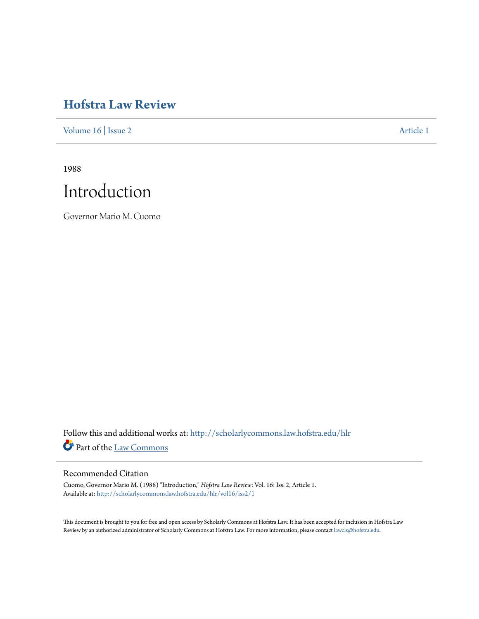# **[Hofstra Law Review](http://scholarlycommons.law.hofstra.edu/hlr?utm_source=scholarlycommons.law.hofstra.edu%2Fhlr%2Fvol16%2Fiss2%2F1&utm_medium=PDF&utm_campaign=PDFCoverPages)**

[Volume 16](http://scholarlycommons.law.hofstra.edu/hlr/vol16?utm_source=scholarlycommons.law.hofstra.edu%2Fhlr%2Fvol16%2Fiss2%2F1&utm_medium=PDF&utm_campaign=PDFCoverPages) | [Issue 2](http://scholarlycommons.law.hofstra.edu/hlr/vol16/iss2?utm_source=scholarlycommons.law.hofstra.edu%2Fhlr%2Fvol16%2Fiss2%2F1&utm_medium=PDF&utm_campaign=PDFCoverPages) [Article 1](http://scholarlycommons.law.hofstra.edu/hlr/vol16/iss2/1?utm_source=scholarlycommons.law.hofstra.edu%2Fhlr%2Fvol16%2Fiss2%2F1&utm_medium=PDF&utm_campaign=PDFCoverPages)

1988



Governor Mario M. Cuomo

Follow this and additional works at: [http://scholarlycommons.law.hofstra.edu/hlr](http://scholarlycommons.law.hofstra.edu/hlr?utm_source=scholarlycommons.law.hofstra.edu%2Fhlr%2Fvol16%2Fiss2%2F1&utm_medium=PDF&utm_campaign=PDFCoverPages) Part of the [Law Commons](http://network.bepress.com/hgg/discipline/578?utm_source=scholarlycommons.law.hofstra.edu%2Fhlr%2Fvol16%2Fiss2%2F1&utm_medium=PDF&utm_campaign=PDFCoverPages)

### Recommended Citation

Cuomo, Governor Mario M. (1988) "Introduction," *Hofstra Law Review*: Vol. 16: Iss. 2, Article 1. Available at: [http://scholarlycommons.law.hofstra.edu/hlr/vol16/iss2/1](http://scholarlycommons.law.hofstra.edu/hlr/vol16/iss2/1?utm_source=scholarlycommons.law.hofstra.edu%2Fhlr%2Fvol16%2Fiss2%2F1&utm_medium=PDF&utm_campaign=PDFCoverPages)

This document is brought to you for free and open access by Scholarly Commons at Hofstra Law. It has been accepted for inclusion in Hofstra Law Review by an authorized administrator of Scholarly Commons at Hofstra Law. For more information, please contact [lawcls@hofstra.edu](mailto:lawcls@hofstra.edu).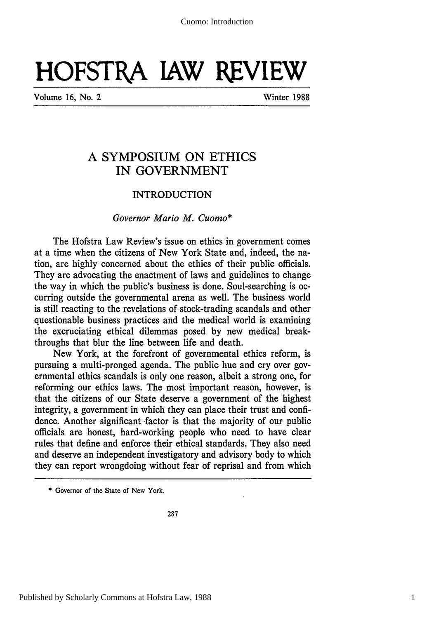# **HOFSTRA IAW REVIEW**

Volume **16,** No. 2 Winter 1988

## **A SYMPOSIUM ON** ETHICS IN **GOVERNMENT**

#### INTRODUCTION

#### *Governor Mario M. Cuomo\**

The Hofstra Law Review's issue on ethics in government comes at a time when the citizens of New York State and, indeed, the nation, are highly concerned about the ethics of their public officials. They are advocating the enactment of laws and guidelines to change the way in which the public's business is done. Soul-searching is occurring outside the governmental arena as well. The business world is still reacting to the revelations of stock-trading scandals and other questionable business practices and the medical world is examining the excruciating ethical dilemmas posed by new medical breakthroughs that blur the line between life and death.

New York, at the forefront of governmental ethics reform, is pursuing a multi-pronged agenda. The public hue and cry over governmental ethics scandals is only one reason, albeit a strong one, for reforming our ethics laws. The most important reason, however, is that the citizens of our State deserve a government of the highest integrity, a government in which they can place their trust and confidence. Another significant -factor is that the majority of our public officials are honest, hard-working people who need to have clear rules that define and enforce their ethical standards. They also need and deserve an independent investigatory and advisory body to which they can report wrongdoing without fear of reprisal and from which

<sup>\*</sup> Governor of the State of New York.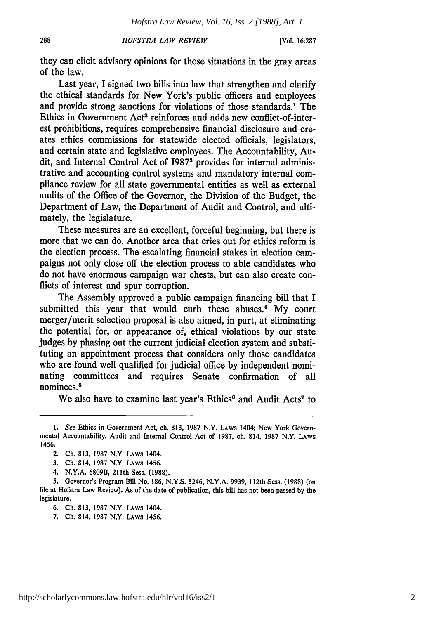#### 288 *HOFSTRA LAW REVIEW* **[Vol. 16:287**

they can elicit advisory opinions for those situations in the gray areas of the law.

Last year, I signed two bills into law that strengthen and clarify the ethical standards for New York's public officers and employees and provide strong sanctions for violations of those standards.' The Ethics in Government Act<sup>2</sup> reinforces and adds new conflict-of-interest prohibitions, requires comprehensive financial disclosure and creates ethics commissions for statewide elected officials, legislators, and certain state and legislative employees. The Accountability, Audit, and Internal Control Act of **I9873** provides for internal administrative and accounting control systems and mandatory internal compliance review for all state governmental entities as well as external audits of the Office of the Governor, the Division of the Budget, the Department of Law, the Department of Audit and Control, and ultimately, the legislature.

These measures are an excellent, forceful beginning, but there is more that we can do. Another area that cries out for ethics reform is the election process. The escalating financial stakes in election campaigns not only close off the election process to able candidates who do not have enormous campaign war chests, but can also create conflicts of interest and spur corruption.

The Assembly approved a public campaign financing bill that I submitted this year that would curb these abuses.<sup>4</sup> My court merger/merit selection proposal is also aimed, in part, at eliminating the potential for, or appearance of, ethical violations by our state judges by phasing out the current judicial election system and substituting an appointment process that considers only those candidates who are found well qualified for judicial office by independent nominating committees and requires Senate confirmation of all nominees.<sup>5</sup>

We also have to examine last year's Ethics<sup>6</sup> and Audit Acts<sup>7</sup> to

<sup>1.</sup> *See* Ethics in Government Act, ch. 813, 1987 N.Y. LAWS 1404; New York Governmental Accountability, Audit and Internal Control Act of 1987, ch. 814, 1987 N.Y. LAWS 1456.

<sup>2.</sup> Ch. 813, 1987 N.Y. LAWS 1404.

<sup>3.</sup> Ch. 814, 1987 N.Y. **LAWS** 1456.

<sup>4.</sup> N.Y.A. 6809B, 211th Sess. (1988).

<sup>5.</sup> Governor's Program Bill No. 186, N.Y.S. 8246, N.Y.A. **9939,** 112th Sess. (1988) (on file at Hofstra Law Review). As of the date of publication, this bill has not been passed by the legislature.

**<sup>6.</sup>** Ch. 813, 1987 N.Y. LAWS 1404.

<sup>7.</sup> Ch. 814, 1987 N.Y. LAWS 1456.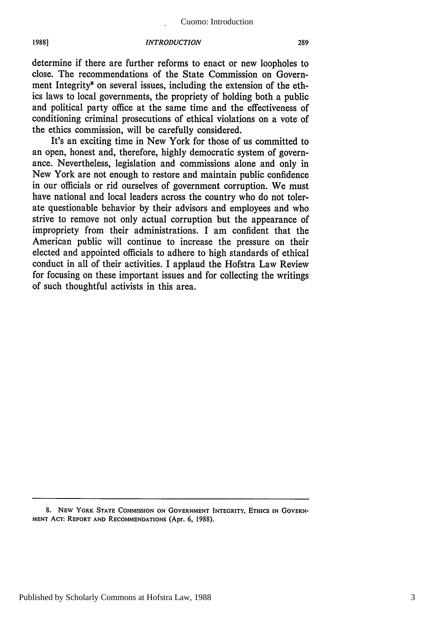#### Cuomo: Introduction

#### *INTRODUCTION*

**1988]**

determine if there are further reforms to enact or new loopholes to close. The recommendations of the State Commission on Government Integrity<sup>8</sup> on several issues, including the extension of the ethics laws to local governments, the propriety of holding both a public and political party office at the same time and the effectiveness of conditioning criminal prosecutions of ethical violations on a vote of the ethics commission, will be carefully considered.

It's an exciting time in New York for those of us committed to an open, honest and, therefore, highly democratic system of governance. Nevertheless, legislation and commissions alone and only in New York are not enough to restore and maintain public confidence in our officials or rid ourselves of government corruption. We must have national and local leaders across the country who do not tolerate questionable behavior by their advisors and employees and who strive to remove not only actual corruption but the appearance of impropriety from their administrations. I am confident that the American public will continue to increase the pressure on their elected and appointed officials to adhere to high standards of ethical conduct in all of their activities. I applaud the Hofstra Law Review for focusing on these important issues and for collecting the writings of such thoughtful activists in this area.

**<sup>8.</sup> NEW** YORK **STATE COMMISSION ON** GOVERNMENT **INTEGRITY, ETHICS IN** GOVERN-**MENT ACT:** REPORT **AND RECOMMENDATIONS** (Apr. **6, 1988).**